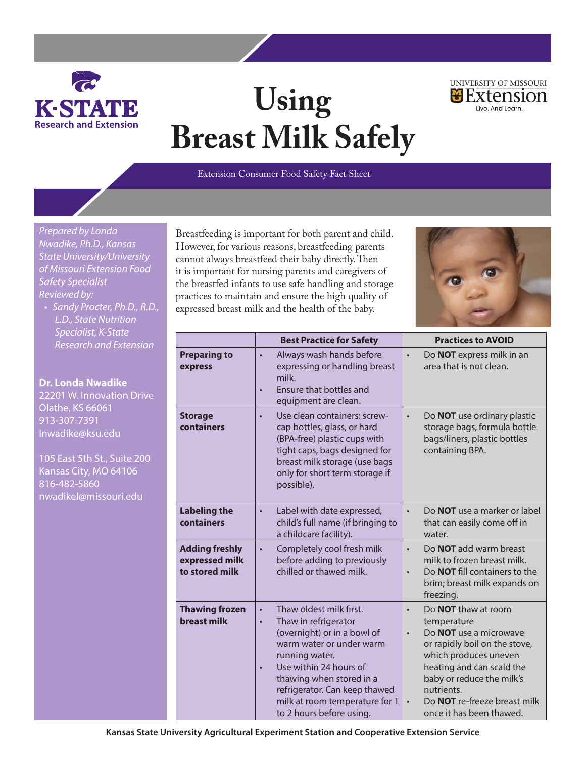

## **Using Breast Milk Safely**



*Prepared by Londa Nwadike, Ph.D., Kansas State University/University of Missouri Extension Food Safety Specialist Reviewed by:*

*• Sandy Procter, Ph.D., R.D., L.D., State Nutrition Specialist, K-State Research and Extension*

**Dr. Londa Nwadike** 22201 W. Innovation Drive Olathe, KS 66061 913-307-7391 lnwadike@ksu.edu

105 East 5th St., Suite 200 Kansas City, MO 64106 816-482-5860 nwadikel@missouri.edu

Breastfeeding is important for both parent and child. However, for various reasons, breastfeeding parents cannot always breastfeed their baby directly. Then it is important for nursing parents and caregivers of the breastfed infants to use safe handling and storage practices to maintain and ensure the high quality of expressed breast milk and the health of the baby.



UNIVERSITY OF MISSOURI  $B$  Extension

live And Learn

|                                                           | <b>Best Practice for Safety</b>                                                                                                                                                                                                                                                                                          | <b>Practices to AVOID</b>                                                                                                                                                                                                                                                                                 |  |  |
|-----------------------------------------------------------|--------------------------------------------------------------------------------------------------------------------------------------------------------------------------------------------------------------------------------------------------------------------------------------------------------------------------|-----------------------------------------------------------------------------------------------------------------------------------------------------------------------------------------------------------------------------------------------------------------------------------------------------------|--|--|
| <b>Preparing to</b><br>express                            | Always wash hands before<br>$\bullet$<br>expressing or handling breast<br>milk.<br><b>Ensure that bottles and</b><br>$\bullet$<br>equipment are clean.                                                                                                                                                                   | Do <b>NOT</b> express milk in an<br>$\bullet$<br>area that is not clean.                                                                                                                                                                                                                                  |  |  |
| <b>Storage</b><br>containers                              | Use clean containers: screw-<br>$\bullet$<br>cap bottles, glass, or hard<br>(BPA-free) plastic cups with<br>tight caps, bags designed for<br>breast milk storage (use bags<br>only for short term storage if<br>possible).                                                                                               | Do NOT use ordinary plastic<br>$\bullet$<br>storage bags, formula bottle<br>bags/liners, plastic bottles<br>containing BPA.                                                                                                                                                                               |  |  |
| <b>Labeling the</b><br>containers                         | Label with date expressed,<br>$\bullet$<br>child's full name (if bringing to<br>a childcare facility).                                                                                                                                                                                                                   | Do <b>NOT</b> use a marker or label<br>$\bullet$<br>that can easily come off in<br>water.                                                                                                                                                                                                                 |  |  |
| <b>Adding freshly</b><br>expressed milk<br>to stored milk | Completely cool fresh milk<br>$\bullet$<br>before adding to previously<br>chilled or thawed milk.                                                                                                                                                                                                                        | Do <b>NOT</b> add warm breast<br>$\bullet$<br>milk to frozen breast milk.<br>Do <b>NOT</b> fill containers to the<br>$\bullet$<br>brim; breast milk expands on<br>freezing.                                                                                                                               |  |  |
| <b>Thawing frozen</b><br><b>breast milk</b>               | Thaw oldest milk first.<br>$\bullet$<br>Thaw in refrigerator<br>$\bullet$<br>(overnight) or in a bowl of<br>warm water or under warm<br>running water.<br>Use within 24 hours of<br>$\bullet$<br>thawing when stored in a<br>refrigerator. Can keep thawed<br>milk at room temperature for 1<br>to 2 hours before using. | Do <b>NOT</b> thaw at room<br>$\bullet$<br>temperature<br>Do <b>NOT</b> use a microwave<br>$\bullet$<br>or rapidly boil on the stove,<br>which produces uneven<br>heating and can scald the<br>baby or reduce the milk's<br>nutrients.<br>Do <b>NOT</b> re-freeze breast milk<br>once it has been thawed. |  |  |